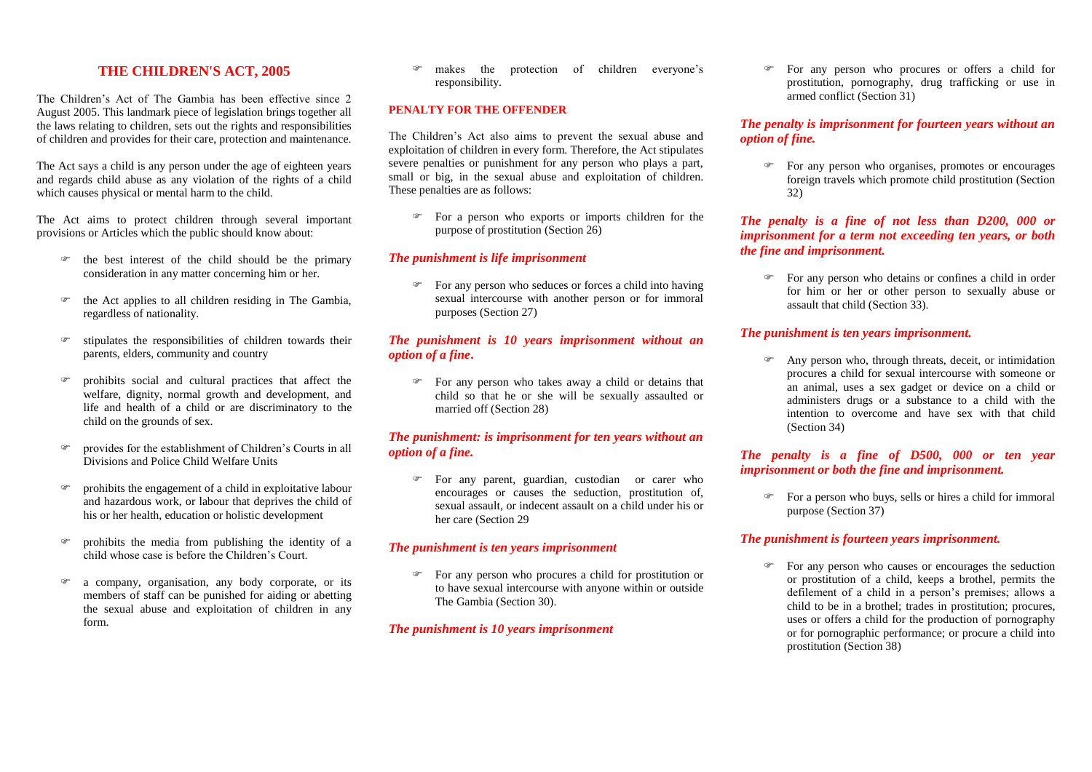## **THE CHILDREN'S ACT, 2005**

The Children's Act of The Gambia has been effective since 2 August 2005. This landmark piece of legislation brings together all the laws relating to children, sets out the rights and responsibilities of children and provides for their care, protection and maintenance.

The Act says a child is any person under the age of eighteen years and regards child abuse as any violation of the rights of a child which causes physical or mental harm to the child.

The Act aims to protect children through several important provisions or Articles which the public should know about:

- $\mathcal{F}$  the best interest of the child should be the primary consideration in any matter concerning him or her.
- **the Act applies to all children residing in The Gambia,** regardless of nationality.
- $\bullet$  stipulates the responsibilities of children towards their parents, elders, community and country
- prohibits social and cultural practices that affect the welfare, dignity, normal growth and development, and life and health of a child or are discriminatory to the child on the grounds of sex.
- provides for the establishment of Children's Courts in all Divisions and Police Child Welfare Units
- prohibits the engagement of a child in exploitative labour and hazardous work, or labour that deprives the child of his or her health, education or holistic development
- prohibits the media from publishing the identity of a child whose case is before the Children's Court.
- a company, organisation, any body corporate, or its members of staff can be punished for aiding or abetting the sexual abuse and exploitation of children in any form.

 makes the protection of children everyone's responsibility.

#### **PENALTY FOR THE OFFENDER**

The Children's Act also aims to prevent the sexual abuse and exploitation of children in every form. Therefore, the Act stipulates severe penalties or punishment for any person who plays a part, small or big, in the sexual abuse and exploitation of children. These penalties are as follows:

 For a person who exports or imports children for the purpose of prostitution (Section 26)

#### *The punishment is life imprisonment*

 For any person who seduces or forces a child into having sexual intercourse with another person or for immoral purposes (Section 27)

#### *The punishment is 10 years imprisonment without an option of a fine***.**

For any person who takes away a child or detains that child so that he or she will be sexually assaulted or married off (Section 28)

### *The punishment: is imprisonment for ten years without an option of a fine.*

 For any parent, guardian, custodian or carer who encourages or causes the seduction, prostitution of, sexual assault, or indecent assault on a child under his or her care (Section 29

#### *The punishment is ten years imprisonment*

For any person who procures a child for prostitution or to have sexual intercourse with anyone within or outside The Gambia (Section 30).

#### *The punishment is 10 years imprisonment*

 For any person who procures or offers a child for prostitution, pornography, drug trafficking or use in armed conflict (Section 31)

#### *The penalty is imprisonment for fourteen years without an option of fine.*

 For any person who organises, promotes or encourages foreign travels which promote child prostitution (Section 32)

#### *The penalty is a fine of not less than D200, 000 or imprisonment for a term not exceeding ten years, or both the fine and imprisonment.*

 For any person who detains or confines a child in order for him or her or other person to sexually abuse or assault that child (Section 33).

#### *The punishment is ten years imprisonment.*

 Any person who, through threats, deceit, or intimidation procures a child for sexual intercourse with someone or an animal, uses a sex gadget or device on a child or administers drugs or a substance to a child with the intention to overcome and have sex with that child (Section 34)

#### *The penalty is a fine of D500, 000 or ten year imprisonment or both the fine and imprisonment.*

 For a person who buys, sells or hires a child for immoral purpose (Section 37)

#### *The punishment is fourteen years imprisonment.*

For any person who causes or encourages the seduction or prostitution of a child, keeps a brothel, permits the defilement of a child in a person's premises; allows a child to be in a brothel; trades in prostitution; procures, uses or offers a child for the production of pornography or for pornographic performance; or procure a child into prostitution (Section 38)